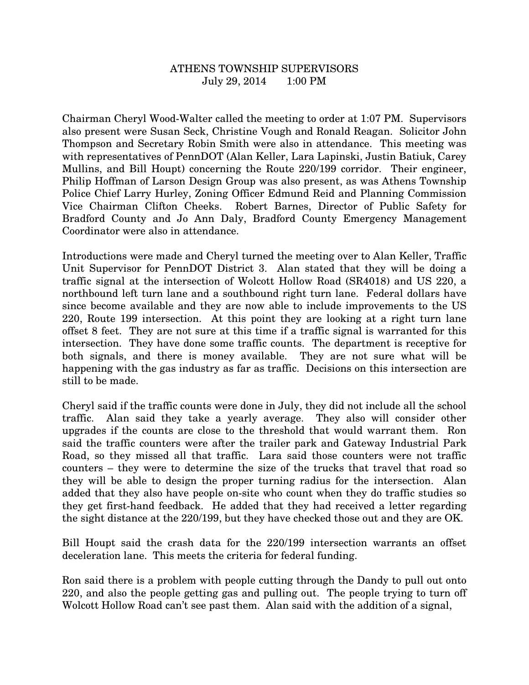## ATHENS TOWNSHIP SUPERVISORS July 29, 2014 1:00 PM

Chairman Cheryl Wood-Walter called the meeting to order at 1:07 PM. Supervisors also present were Susan Seck, Christine Vough and Ronald Reagan. Solicitor John Thompson and Secretary Robin Smith were also in attendance. This meeting was with representatives of PennDOT (Alan Keller, Lara Lapinski, Justin Batiuk, Carey Mullins, and Bill Houpt) concerning the Route 220/199 corridor. Their engineer, Philip Hoffman of Larson Design Group was also present, as was Athens Township Police Chief Larry Hurley, Zoning Officer Edmund Reid and Planning Commission Vice Chairman Clifton Cheeks. Robert Barnes, Director of Public Safety for Bradford County and Jo Ann Daly, Bradford County Emergency Management Coordinator were also in attendance.

Introductions were made and Cheryl turned the meeting over to Alan Keller, Traffic Unit Supervisor for PennDOT District 3. Alan stated that they will be doing a traffic signal at the intersection of Wolcott Hollow Road (SR4018) and US 220, a northbound left turn lane and a southbound right turn lane. Federal dollars have since become available and they are now able to include improvements to the US 220, Route 199 intersection. At this point they are looking at a right turn lane offset 8 feet. They are not sure at this time if a traffic signal is warranted for this intersection. They have done some traffic counts. The department is receptive for both signals, and there is money available. They are not sure what will be happening with the gas industry as far as traffic. Decisions on this intersection are still to be made.

Cheryl said if the traffic counts were done in July, they did not include all the school traffic. Alan said they take a yearly average. They also will consider other upgrades if the counts are close to the threshold that would warrant them. Ron said the traffic counters were after the trailer park and Gateway Industrial Park Road, so they missed all that traffic. Lara said those counters were not traffic counters – they were to determine the size of the trucks that travel that road so they will be able to design the proper turning radius for the intersection. Alan added that they also have people on-site who count when they do traffic studies so they get first-hand feedback. He added that they had received a letter regarding the sight distance at the 220/199, but they have checked those out and they are OK.

Bill Houpt said the crash data for the 220/199 intersection warrants an offset deceleration lane. This meets the criteria for federal funding.

Ron said there is a problem with people cutting through the Dandy to pull out onto 220, and also the people getting gas and pulling out. The people trying to turn off Wolcott Hollow Road can't see past them. Alan said with the addition of a signal,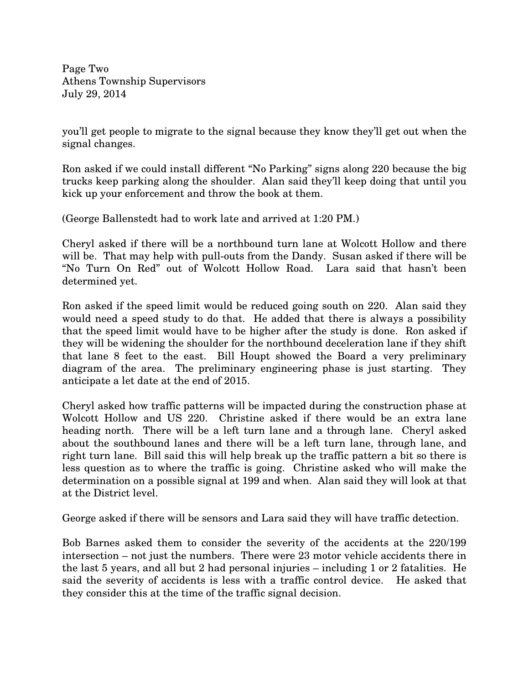Page Two Athens Township Supervisors July 29, 2014

you'll get people to migrate to the signal because they know they'll get out when the signal changes.

Ron asked if we could install different "No Parking" signs along 220 because the big trucks keep parking along the shoulder. Alan said they'll keep doing that until you kick up your enforcement and throw the book at them.

(George Ballenstedt had to work late and arrived at 1:20 PM.)

Cheryl asked if there will be a northbound turn lane at Wolcott Hollow and there will be. That may help with pull-outs from the Dandy. Susan asked if there will be "No Turn On Red" out of Wolcott Hollow Road. Lara said that hasn't been determined yet.

Ron asked if the speed limit would be reduced going south on 220. Alan said they would need a speed study to do that. He added that there is always a possibility that the speed limit would have to be higher after the study is done. Ron asked if they will be widening the shoulder for the northbound deceleration lane if they shift that lane 8 feet to the east. Bill Houpt showed the Board a very preliminary diagram of the area. The preliminary engineering phase is just starting. They anticipate a let date at the end of 2015.

Cheryl asked how traffic patterns will be impacted during the construction phase at Wolcott Hollow and US 220. Christine asked if there would be an extra lane heading north. There will be a left turn lane and a through lane. Cheryl asked about the southbound lanes and there will be a left turn lane, through lane, and right turn lane. Bill said this will help break up the traffic pattern a bit so there is less question as to where the traffic is going. Christine asked who will make the determination on a possible signal at 199 and when. Alan said they will look at that at the District level.

George asked if there will be sensors and Lara said they will have traffic detection.

Bob Barnes asked them to consider the severity of the accidents at the 220/199 intersection – not just the numbers. There were 23 motor vehicle accidents there in the last 5 years, and all but 2 had personal injuries – including 1 or 2 fatalities. He said the severity of accidents is less with a traffic control device. He asked that they consider this at the time of the traffic signal decision.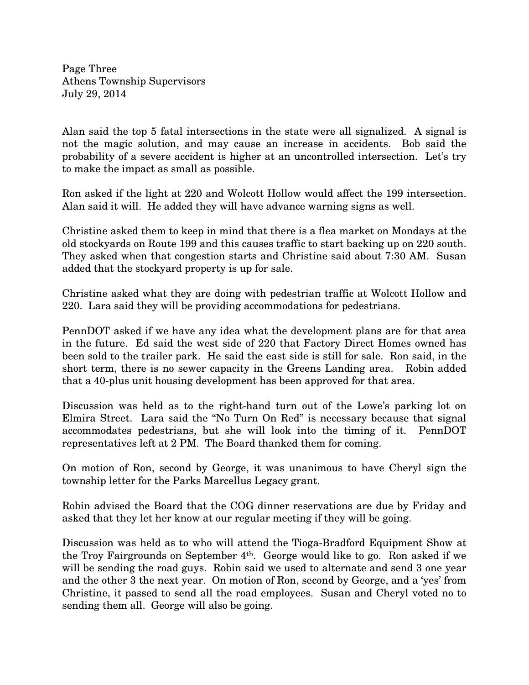Page Three Athens Township Supervisors July 29, 2014

Alan said the top 5 fatal intersections in the state were all signalized. A signal is not the magic solution, and may cause an increase in accidents. Bob said the probability of a severe accident is higher at an uncontrolled intersection. Let's try to make the impact as small as possible.

Ron asked if the light at 220 and Wolcott Hollow would affect the 199 intersection. Alan said it will. He added they will have advance warning signs as well.

Christine asked them to keep in mind that there is a flea market on Mondays at the old stockyards on Route 199 and this causes traffic to start backing up on 220 south. They asked when that congestion starts and Christine said about 7:30 AM. Susan added that the stockyard property is up for sale.

Christine asked what they are doing with pedestrian traffic at Wolcott Hollow and 220. Lara said they will be providing accommodations for pedestrians.

PennDOT asked if we have any idea what the development plans are for that area in the future. Ed said the west side of 220 that Factory Direct Homes owned has been sold to the trailer park. He said the east side is still for sale. Ron said, in the short term, there is no sewer capacity in the Greens Landing area. Robin added that a 40-plus unit housing development has been approved for that area.

Discussion was held as to the right-hand turn out of the Lowe's parking lot on Elmira Street. Lara said the "No Turn On Red" is necessary because that signal accommodates pedestrians, but she will look into the timing of it. PennDOT representatives left at 2 PM. The Board thanked them for coming.

On motion of Ron, second by George, it was unanimous to have Cheryl sign the township letter for the Parks Marcellus Legacy grant.

Robin advised the Board that the COG dinner reservations are due by Friday and asked that they let her know at our regular meeting if they will be going.

Discussion was held as to who will attend the Tioga-Bradford Equipment Show at the Troy Fairgrounds on September 4th. George would like to go. Ron asked if we will be sending the road guys. Robin said we used to alternate and send 3 one year and the other 3 the next year. On motion of Ron, second by George, and a 'yes' from Christine, it passed to send all the road employees. Susan and Cheryl voted no to sending them all. George will also be going.